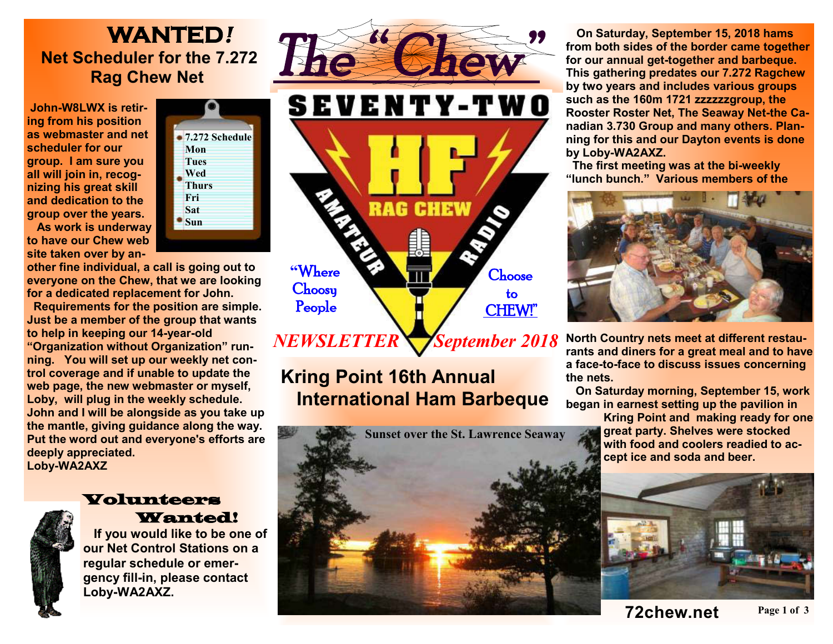## **WANTED***!* **Net Scheduler for the 7.272 Rag Chew Net**

**John-W8LWX is retiring from his position as webmaster and net scheduler for our group. I am sure you all will join in, recognizing his great skill and dedication to the group over the years.** 



**As work is underway to have our Chew web site taken over by an-**

**other fine individual, a call is going out to everyone on the Chew, that we are looking for a dedicated replacement for John.** 

 **Requirements for the position are simple. Just be a member of the group that wants to help in keeping our 14-year-old "Organization without Organization" running. You will set up our weekly net control coverage and if unable to update the web page, the new webmaster or myself, Loby, will plug in the weekly schedule. John and I will be alongside as you take up the mantle, giving guidance along the way. Put the word out and everyone's efforts are deeply appreciated. Loby-WA2AXZ** 



## Volunteers Wanted!

 **If you would like to be one of our Net Control Stations on a regular schedule or emergency fill-in, please contact Loby-WA2AXZ.**





*September 2018 NEWSLETTER* 

## **Kring Point 16th Annual International Ham Barbeque**



 **On Saturday, September 15, 2018 hams from both sides of the border came together for our annual get-together and barbeque. This gathering predates our 7.272 Ragchew by two years and includes various groups such as the 160m 1721 zzzzzzgroup, the Rooster Roster Net, The Seaway Net-the Canadian 3.730 Group and many others. Planning for this and our Dayton events is done by Loby-WA2AXZ.** 

 **The first meeting was at the bi-weekly "lunch bunch." Various members of the** 



**North Country nets meet at different restaurants and diners for a great meal and to have a face-to-face to discuss issues concerning the nets.** 

 **On Saturday morning, September 15, work began in earnest setting up the pavilion in** 

**Kring Point and making ready for one great party. Shelves were stocked with food and coolers readied to accept ice and soda and beer.**



**Page 1 of 3 72chew.net**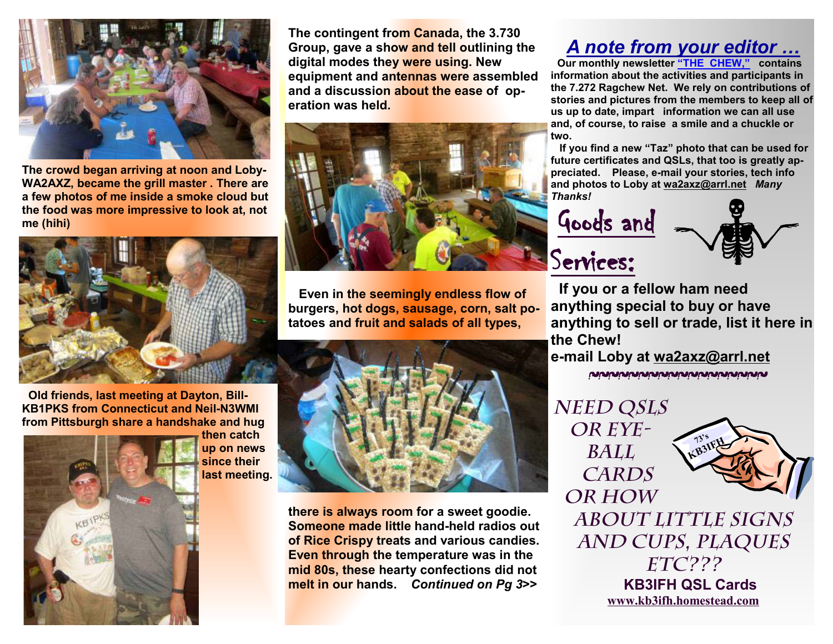

**The crowd began arriving at noon and Loby-WA2AXZ, became the grill master . There are a few photos of me inside a smoke cloud but the food was more impressive to look at, not me (hihi)** 



**Old friends, last meeting at Dayton, Bill-KB1PKS from Connecticut and Neil-N3WMI from Pittsburgh share a handshake and hug** 



**then catch up on news since their last meeting.**  **The contingent from Canada, the 3.730 Group, gave a show and tell outlining the digital modes they were using. New equipment and antennas were assembled and a discussion about the ease of operation was held.** 



 **Even in the seemingly endless flow of burgers, hot dogs, sausage, corn, salt potatoes and fruit and salads of all types,** 



**there is always room for a sweet goodie. Someone made little hand-held radios out of Rice Crispy treats and various candies. Even through the temperature was in the mid 80s, these hearty confections did not melt in our hands.** *Continued on Pg 3***>>** 

## *A note from your editor …*

 **Our monthly newsletter "THE CHEW," contains information about the activities and participants in the 7.272 Ragchew Net. We rely on contributions of stories and pictures from the members to keep all of us up to date, impart information we can all use and, of course, to raise a smile and a chuckle or two.** 

 **If you find a new "Taz" photo that can be used for future certificates and QSLs, that too is greatly appreciated. Please, e-mail your stories, tech info and photos to Loby at wa2axz@arrl.net** *Many Thanks!* 

Goods and

Services:



**If you or a fellow ham need anything special to buy or have anything to sell or trade, list it here in the Chew!** 

**e-mail Loby at wa2axz@arrl.net**  ~~~~~~~~~~~~~~~~~~

*Need QSLs or Eyeball Cards or how* 



*about little signs and cups, plaques etc???*   **KB3IFH QSL Cards www.kb3ifh.homestead.com**   $\frac{1}{2}$